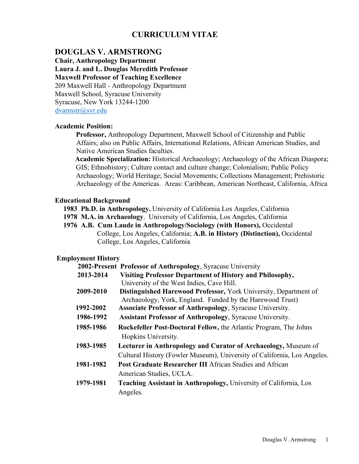# **CURRICULUM VITAE**

# **DOUGLAS V. ARMSTRONG**

**Chair, Anthropology Department Laura J. and L. Douglas Meredith Professor Maxwell Professor of Teaching Excellence** 209 Maxwell Hall - Anthropology Department Maxwell School, Syracuse University Syracuse, New York 13244-1200 [dvarmstr@syr.edu](mailto:dvarmstr@syr.edu)

#### **Academic Position:**

**Professor,** Anthropology Department, Maxwell School of Citizenship and Public Affairs; also on Public Affairs, International Relations, African American Studies, and Native American Studies faculties.

**Academic Specialization:** Historical Archaeology; Archaeology of the African Diaspora; GIS; Ethnohistory; Culture contact and culture change; Colonialism; Public Policy Archaeology; World Heritage; Social Movements; Collections Management; Prehistoric Archaeology of the Americas. Areas: Caribbean, American Northeast, California, Africa

## **Educational Background**

**1983 Ph.D. in Anthropology.** University of California Los Angeles, California

- **1978 M.A. in Archaeology**. University of California, Los Angeles, California
- **1976 A.B. Cum Laude in Anthropology/Sociology (with Honors),** Occidental College, Los Angeles, California; **A.B. in History (Distinction),** Occidental College, Los Angeles, California

## **Employment History**

|           | 2002-Present Professor of Anthropology, Syracuse University              |
|-----------|--------------------------------------------------------------------------|
| 2013-2014 | Visiting Professor Department of History and Philosophy,                 |
|           | University of the West Indies, Cave Hill.                                |
| 2009-2010 | Distinguished Harewood Professor, York University, Department of         |
|           | Archaeology, York, England. Funded by the Harewood Trust)                |
| 1992-2002 | <b>Associate Professor of Anthropology</b> , Syracuse University.        |
| 1986-1992 | <b>Assistant Professor of Anthropology, Syracuse University.</b>         |
| 1985-1986 | <b>Rockefeller Post-Doctoral Fellow, the Atlantic Program, The Johns</b> |
|           | Hopkins University.                                                      |
| 1983-1985 | Lecturer in Anthropology and Curator of Archaeology, Museum of           |
|           | Cultural History (Fowler Museum), University of California, Los Angeles. |
| 1981-1982 | <b>Post Graduate Researcher III African Studies and African</b>          |
|           | American Studies, UCLA.                                                  |
| 1979-1981 | Teaching Assistant in Anthropology, University of California, Los        |
|           | Angeles.                                                                 |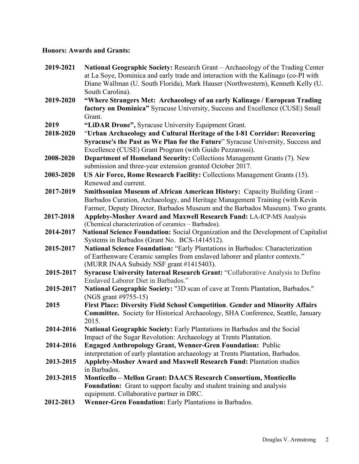# **Honors: Awards and Grants:**

| 2019-2021 | National Geographic Society: Research Grant - Archaeology of the Trading Center<br>at La Soye, Dominica and early trade and interaction with the Kalinago (co-PI with<br>Diane Wallman (U. South Florida), Mark Hauser (Northwestern), Kenneth Kelly (U.<br>South Carolina). |
|-----------|------------------------------------------------------------------------------------------------------------------------------------------------------------------------------------------------------------------------------------------------------------------------------|
| 2019-2020 | "Where Strangers Met: Archaeology of an early Kalinago / European Trading<br>factory on Dominica" Syracuse University, Success and Excellence (CUSE) Small<br>Grant.                                                                                                         |
| 2019      | "LiDAR Drone", Syracuse University Equipment Grant.                                                                                                                                                                                                                          |
| 2018-2020 | "Urban Archaeology and Cultural Heritage of the I-81 Corridor: Recovering                                                                                                                                                                                                    |
|           | Syracuse's the Past as We Plan for the Future" Syracuse University, Success and                                                                                                                                                                                              |
|           | Excellence (CUSE) Grant Program (with Guido Pezzarossi).                                                                                                                                                                                                                     |
| 2008-2020 | <b>Department of Homeland Security: Collections Management Grants (7). New</b>                                                                                                                                                                                               |
|           | submission and three-year extension granted October 2017.                                                                                                                                                                                                                    |
| 2003-2020 | US Air Force, Rome Research Facility: Collections Management Grants (15).                                                                                                                                                                                                    |
|           | Renewed and current.                                                                                                                                                                                                                                                         |
| 2017-2019 | Smithsonian Museum of African American History: Capacity Building Grant -                                                                                                                                                                                                    |
|           | Barbados Curation, Archaeology, and Heritage Management Training (with Kevin                                                                                                                                                                                                 |
|           | Farmer, Deputy Director, Barbados Museum and the Barbados Museum). Two grants.                                                                                                                                                                                               |
| 2017-2018 | Appleby-Mosher Award and Maxwell Research Fund: LA-ICP-MS Analysis                                                                                                                                                                                                           |
|           | (Chemical characterization of ceramics - Barbados).                                                                                                                                                                                                                          |
| 2014-2017 | National Science Foundation: Social Organization and the Development of Capitalist                                                                                                                                                                                           |
| 2015-2017 | Systems in Barbados (Grant No. BCS-1414512).<br>National Science Foundation: "Early Plantations in Barbados: Characterization                                                                                                                                                |
|           | of Earthenware Ceramic samples from enslaved laborer and planter contexts."                                                                                                                                                                                                  |
|           | (MURR INAA Subsidy NSF grant #1415403).                                                                                                                                                                                                                                      |
| 2015-2017 | Syracuse University Internal Research Grant: "Collaborative Analysis to Define                                                                                                                                                                                               |
|           | Enslaved Laborer Diet in Barbados."                                                                                                                                                                                                                                          |
| 2015-2017 | National Geographic Society: "3D scan of cave at Trents Plantation, Barbados."                                                                                                                                                                                               |
|           | (NGS grant #9755-15)                                                                                                                                                                                                                                                         |
| 2015      | <b>First Place: Diversity Field School Competition. Gender and Minority Affairs</b>                                                                                                                                                                                          |
|           | Committee. Society for Historical Archaeology, SHA Conference, Seattle, January                                                                                                                                                                                              |
|           | 2015.                                                                                                                                                                                                                                                                        |
| 2014-2016 | National Geographic Society: Early Plantations in Barbados and the Social                                                                                                                                                                                                    |
|           | Impact of the Sugar Revolution: Archaeology at Trents Plantation.                                                                                                                                                                                                            |
| 2014-2016 | <b>Engaged Anthropology Grant, Wenner-Gren Foundation: Public</b><br>interpretation of early plantation archaeology at Trents Plantation, Barbados.                                                                                                                          |
| 2013-2015 | <b>Appleby-Mosher Award and Maxwell Research Fund: Plantation studies</b>                                                                                                                                                                                                    |
|           | in Barbados.                                                                                                                                                                                                                                                                 |
| 2013-2015 | Monticello – Mellon Grant: DAACS Research Consortium, Monticello                                                                                                                                                                                                             |
|           | Foundation: Grant to support faculty and student training and analysis                                                                                                                                                                                                       |
|           | equipment. Collaborative partner in DRC.                                                                                                                                                                                                                                     |
| 2012-2013 | Wenner-Gren Foundation: Early Plantations in Barbados.                                                                                                                                                                                                                       |
|           |                                                                                                                                                                                                                                                                              |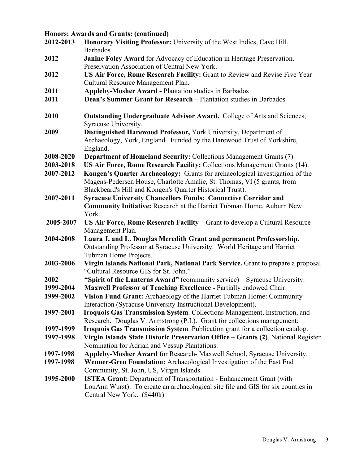# **Honors: Awards and Grants: (continued)**

| 2012-2013 | Honorary Visiting Professor: University of the West Indies, Cave Hill,<br>Barbados.                                     |
|-----------|-------------------------------------------------------------------------------------------------------------------------|
| 2012      | Janine Foley Award for Advocacy of Education in Heritage Preservation.<br>Preservation Association of Central New York. |
| 2012      | US Air Force, Rome Research Facility: Grant to Review and Revise Five Year                                              |
|           | Cultural Resource Management Plan.                                                                                      |
| 2011      | <b>Appleby-Mosher Award - Plantation studies in Barbados</b>                                                            |
| 2011      | Dean's Summer Grant for Research - Plantation studies in Barbados                                                       |
| 2010      | Outstanding Undergraduate Advisor Award. College of Arts and Sciences,<br>Syracuse University.                          |
| 2009      | Distinguished Harewood Professor, York University, Department of                                                        |
|           | Archaeology, York, England. Funded by the Harewood Trust of Yorkshire,<br>England.                                      |
| 2008-2020 | <b>Department of Homeland Security: Collections Management Grants (7).</b>                                              |
| 2003-2018 | US Air Force, Rome Research Facility: Collections Management Grants (14).                                               |
| 2007-2012 | Kongen's Quarter Archaeology: Grants for archaeological investigation of the                                            |
|           | Magens-Pedersen House, Charlotte Amalie, St. Thomas, VI (5 grants, from                                                 |
|           | Blackbeard's Hill and Kongen's Quarter Historical Trust).                                                               |
| 2007-2011 | <b>Syracuse University Chancellors Funds: Connective Corridor and</b>                                                   |
|           | <b>Community Initiative:</b> Research at the Harriet Tubman Home, Auburn New                                            |
|           | York.                                                                                                                   |
| 2005-2007 | US Air Force, Rome Research Facility – Grant to develop a Cultural Resource<br>Management Plan.                         |
| 2004-2008 | Laura J. and L. Douglas Meredith Grant and permanent Professorship.                                                     |
|           | Outstanding Professor at Syracuse University. World Heritage and Harriet                                                |
|           | Tubman Home Projects.                                                                                                   |
| 2003-2006 | Virgin Islands National Park, National Park Service. Grant to prepare a proposal                                        |
|           | "Cultural Resource GIS for St. John."                                                                                   |
| 2002      | "Spirit of the Lanterns Award" (community service) - Syracuse University.                                               |
| 1999-2004 | Maxwell Professor of Teaching Excellence - Partially endowed Chair                                                      |
| 1999-2002 | Vision Fund Grant: Archaeology of the Harriet Tubman Home: Community                                                    |
|           | Interaction (Syracuse University Instructional Development).                                                            |
| 1997-2001 | Iroquois Gas Transmission System. Collections Management, Instruction, and                                              |
|           | Research. Douglas V. Armstrong (P.I.). Grant for collections management:                                                |
| 1997-1999 | Iroquois Gas Transmission System. Publication grant for a collection catalog.                                           |
| 1997-1998 | Virgin Islands State Historic Preservation Office - Grants (2). National Register                                       |
|           | Nomination for Adrian and Vessup Plantations.                                                                           |
| 1997-1998 | Appleby-Mosher Award for Research- Maxwell School, Syracuse University.                                                 |
| 1997-1998 | Wenner-Gren Foundation: Archaeological Investigation of the East End                                                    |
|           | Community, St. John, US, Virgin Islands.                                                                                |
| 1995-2000 | <b>ISTEA Grant:</b> Department of Transportation - Enhancement Grant (with                                              |
|           | LouAnn Wurst): To create an archaeological site file and GIS for six counties in                                        |
|           | Central New York. (\$440k)                                                                                              |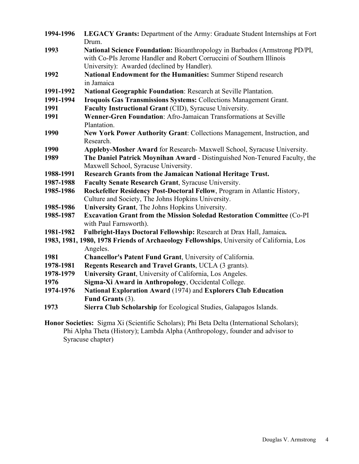| 1994-1996 | <b>LEGACY Grants:</b> Department of the Army: Graduate Student Internships at Fort       |
|-----------|------------------------------------------------------------------------------------------|
|           | Drum.                                                                                    |
| 1993      | National Science Foundation: Bioanthropology in Barbados (Armstrong PD/PI,               |
|           | with Co-PIs Jerome Handler and Robert Corruccini of Southern Illinois                    |
|           | University): Awarded (declined by Handler).                                              |
| 1992      | National Endowment for the Humanities: Summer Stipend research                           |
|           | in Jamaica                                                                               |
| 1991-1992 | National Geographic Foundation: Research at Seville Plantation.                          |
| 1991-1994 | <b>Iroquois Gas Transmissions Systems: Collections Management Grant.</b>                 |
| 1991      | Faculty Instructional Grant (CID), Syracuse University.                                  |
| 1991      | Wenner-Gren Foundation: Afro-Jamaican Transformations at Seville                         |
|           | Plantation.                                                                              |
| 1990      | New York Power Authority Grant: Collections Management, Instruction, and                 |
|           | Research.                                                                                |
| 1990      | Appleby-Mosher Award for Research- Maxwell School, Syracuse University.                  |
| 1989      | The Daniel Patrick Moynihan Award - Distinguished Non-Tenured Faculty, the               |
|           | Maxwell School, Syracuse University.                                                     |
| 1988-1991 | Research Grants from the Jamaican National Heritage Trust.                               |
| 1987-1988 | Faculty Senate Research Grant, Syracuse University.                                      |
| 1985-1986 | Rockefeller Residency Post-Doctoral Fellow, Program in Atlantic History,                 |
|           | Culture and Society, The Johns Hopkins University.                                       |
| 1985-1986 | University Grant, The Johns Hopkins University.                                          |
| 1985-1987 | Excavation Grant from the Mission Soledad Restoration Committee (Co-PI                   |
|           | with Paul Farnsworth).                                                                   |
| 1981-1982 | Fulbright-Hays Doctoral Fellowship: Research at Drax Hall, Jamaica.                      |
|           | 1983, 1981, 1980, 1978 Friends of Archaeology Fellowships, University of California, Los |
|           | Angeles.                                                                                 |
| 1981      | Chancellor's Patent Fund Grant, University of California.                                |
| 1978-1981 | Regents Research and Travel Grants, UCLA (3 grants).                                     |
| 1978-1979 | University Grant, University of California, Los Angeles.                                 |
| 1976      | Sigma-Xi Award in Anthropology, Occidental College.                                      |
| 1974-1976 | National Exploration Award (1974) and Explorers Club Education                           |
|           | Fund Grants (3).                                                                         |
| 1973      | Sierra Club Scholarship for Ecological Studies, Galapagos Islands.                       |
|           |                                                                                          |

**Honor Societies:** Sigma Xi (Scientific Scholars); Phi Beta Delta (International Scholars); Phi Alpha Theta (History); Lambda Alpha (Anthropology, founder and advisor to Syracuse chapter)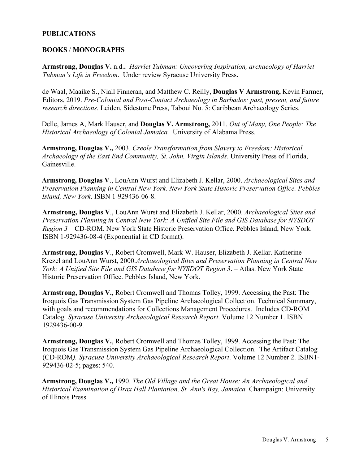# **PUBLICATIONS**

### **BOOKS** / **MONOGRAPHS**

**Armstrong, Douglas V.** n.d.**.** *Harriet Tubman: Uncovering Inspiration, archaeology of Harriet Tubman's Life in Freedom*. Under review Syracuse University Press**.** 

de Waal, Maaike S., Niall Finneran, and Matthew C. Reilly, **Douglas V Armstrong,** Kevin Farmer, Editors, 2019. *Pre-Colonial and Post-Contact Archaeology in Barbados: past, present, and future research directions*. Leiden, Sidestone Press, Taboui No. 5: Caribbean Archaeology Series.

Delle, James A, Mark Hauser, and **Douglas V. Armstrong,** 2011. *Out of Many, One People: The Historical Archaeology of Colonial Jamaica.* University of Alabama Press.

**Armstrong, Douglas V.,** 2003. *Creole Transformation from Slavery to Freedom: Historical Archaeology of the East End Community, St. John, Virgin Islands*. University Press of Florida, Gainesville.

**Armstrong, Douglas V**., LouAnn Wurst and Elizabeth J. Kellar, 2000. *Archaeological Sites and Preservation Planning in Central New York. New York State Historic Preservation Office. Pebbles Island, New York*. ISBN 1-929436-06-8.

**Armstrong, Douglas V**., LouAnn Wurst and Elizabeth J. Kellar, 2000. *Archaeological Sites and Preservation Planning in Central New York: A Unified Site File and GIS Database for NYSDOT Region 3* – CD-ROM. New York State Historic Preservation Office. Pebbles Island, New York. ISBN 1-929436-08-4 (Exponential in CD format).

**Armstrong, Douglas V**., Robert Cromwell, Mark W. Hauser, Elizabeth J. Kellar. Katherine Krezel and LouAnn Wurst, 2000.*Archaeological Sites and Preservation Planning in Central New York: A Unified Site File and GIS Database for NYSDOT Region 3*. – Atlas. New York State Historic Preservation Office. Pebbles Island, New York.

**Armstrong, Douglas V.**, Robert Cromwell and Thomas Tolley, 1999. Accessing the Past: The Iroquois Gas Transmission System Gas Pipeline Archaeological Collection. Technical Summary, with goals and recommendations for Collections Management Procedures. Includes CD-ROM Catalog*. Syracuse University Archaeological Research Report*. Volume 12 Number 1. ISBN 1929436-00-9.

**Armstrong, Douglas V.**, Robert Cromwell and Thomas Tolley, 1999. Accessing the Past: The Iroquois Gas Transmission System Gas Pipeline Archaeological Collection. The Artifact Catalog (CD-ROM*). Syracuse University Archaeological Research Report*. Volume 12 Number 2. ISBN1- 929436-02-5; pages: 540.

**Armstrong, Douglas V.,** 1990. *The Old Village and the Great House: An Archaeological and Historical Examination of Drax Hall Plantation, St. Ann's Bay, Jamaica.* Champaign: University of Illinois Press.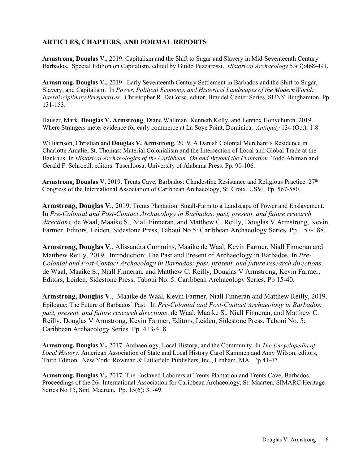# **ARTICLES, CHAPTERS, AND FORMAL REPORTS**

**Armstrong, Douglas V.,** 2019. Capitalism and the Shift to Sugar and Slavery in Mid-Seventeenth Century Barbados. Special Edition on Capitalism, edited by Guido Pezzarossi. *Historical Archaeology* 53(3):468-491.

**Armstrong, Douglas V.,** 2019. Early Seventeenth Century Settlement in Barbados and the Shift to Sugar, Slavery, and Capitalism. In *Power, Political Economy, and Historical Landscapes of the ModernWorld: Interdisciplinary Perspectives.* Christopher R. DeCorse, editor*.* Braudel Center Series, SUNY Binghamton. Pp 131-153.

Hauser, Mark, **Douglas V. Armstrong**, Diane Wallman, Kenneth Kelly, and Lennox Honychurch. 2019. Where Strangers mete: evidence for early commerce at La Soye Point, Dominica. *Antiquity* 134 (Oct): 1-8.

Williamson, Christian and **Douglas V. Armstrong**, 2019. A Danish Colonial Merchant's Residence in Charlotte Amalie, St. Thomas: Material Colonialism and the Intersection of Local and Global Trade at the Bankhus. In *Historical Archaeologies of the Caribbean: On and Beyond the Plantation*. Todd Ahlman and Gerald F. Schroedl, editors. Tuscaloosa, University of Alabama Press. Pp. 90-106.

**Armstrong, Douglas V**. 2019. Trents Cave, Barbados: Clandestine Resistance and Religious Practice. 27th Congress of the International Association of Caribbean Archaeology, St. Croix, USVI. Pp. 567-580.

**Armstrong, Douglas V**., 2019. Trents Plantation: Small-Farm to a Landscape of Power and Enslavement. In *Pre-Colonial and Post-Contact Archaeology in Barbados: past, present, and future research directions*. de Waal, Maaike S., Niall Finneran, and Matthew C. Reilly, Douglas V Armstrong, Kevin Farmer, Editors, Leiden, Sidestone Press, Taboui No.5: Caribbean Archaeology Series. Pp. 157-188.

**Armstrong, Douglas V**., Alissandra Cummins, Maaike de Waal, Kevin Farmer, Niall Finneran and Matthew Reilly, 2019. Introduction: The Past and Present of Archaeology in Barbados. In *Pre-Colonial and Post-Contact Archaeology in Barbados: past, present, and future research directions*. de Waal, Maaike S., Niall Finneran, and Matthew C. Reilly, Douglas V Armstrong, Kevin Farmer, Editors, Leiden, Sidestone Press, Taboui No. 5: Caribbean Archaeology Series. Pp 15-40.

**Armstrong, Douglas V**., Maaike de Waal, Kevin Farmer, Niall Finneran and Matthew Reilly, 2019. Epilogue: The Future of Barbados' Past. In *Pre-Colonial and Post-Contact Archaeology in Barbados: past, present, and future research directions*. de Waal, Maaike S., Niall Finneran, and Matthew C. Reilly, Douglas V Armstrong, Kevin Farmer, Editors, Leiden, Sidestone Press, Taboui No. 5: Caribbean Archaeology Series. Pp. 413-418

**Armstrong, Douglas V.,** 2017. Archaeology, Local History, and the Community. In *The Encyclopedia of Local History*. American Association of State and Local History Carol Kammen and Amy Wilson, editors, Third Edition. New York: Rowman & Littlefield Publishers, Inc., Lenham, MA. Pp 41-47.

**Armstrong, Douglas V.,** 2017. The Enslaved Laborers at Trents Plantation and Trents Cave, Barbados. Proceedings of the 26th International Association for Caribbean Archaeology, St. Maarten, SIMARC Heritage Series No 15, Sint. Maarten. Pp. 15(6): 31-49.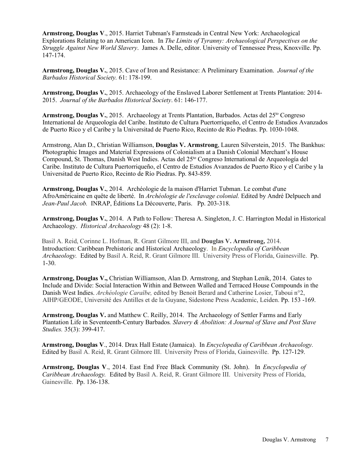**Armstrong, Douglas V**., 2015. Harriet Tubman's Farmsteads in Central New York: Archaeological Explorations Relating to an American Icon. In *The Limits of Tyranny: Archaeological Perspectives on the Struggle Against New World Slavery*. James A. Delle, editor. University of Tennessee Press, Knoxville. Pp. 147-174.

**Armstrong, Douglas V.**, 2015. Cave of Iron and Resistance: A Preliminary Examination. *Journal of the Barbados Historical Society.* 61: 178-199.

**Armstrong, Douglas V.**, 2015. Archaeology of the Enslaved Laborer Settlement at Trents Plantation: 2014- 2015. *Journal of the Barbados Historical Society*. 61: 146-177.

Armstrong, Douglas V., 2015. Archaeology at Trents Plantation, Barbados. Actas del 25<sup>to</sup> Congreso International de Arqueología del Caribe. Instituto de Cultura Puertorriqueño, el Centro de Estudios Avanzados de Puerto Rico y el Caribe y la Universitad de Puerto Rico, Recinto de Río Piedras. Pp. 1030-1048.

Armstrong, Alan D., Christian Williamson, **Douglas V. Armstrong**, Lauren Silverstein, 2015. The Bankhus: Photographic Images and Material Expressions of Colonialism at a Danish Colonial Merchant's House Compound, St. Thomas, Danish West Indies. Actas del 25<sup>to</sup> Congreso International de Arqueología del Caribe. Instituto de Cultura Puertorriqueño, el Centro de Estudios Avanzados de Puerto Rico y el Caribe y la Universitad de Puerto Rico, Recinto de Río Piedras. Pp. 843-859.

**Armstrong, Douglas V.**, 2014. Archéologie de la maison d'Harriet Tubman. Le combat d'une AfroAméricaine en quête de liberté. In *Archéologie de l'esclavage colonial.* Edited by André Delpuech and *[Jean-Paul Jacob.](http://www.editionsladecouverte.fr/auteur/index.php?id=300142)* INRAP, Éditions La Découverte, Paris. Pp. 203-318.

**Armstrong, Douglas V.**, 2014. A Path to Follow: Theresa A. Singleton, J. C. Harrington Medal in Historical Archaeology. *Historical Archaeology* 48 (2): 1-8.

Basil A. Reid, Corinne L. Hofman, R. Grant Gilmore III, and **Douglas V. Armstrong,** 2014. Introduction: Caribbean Prehistoric and Historical Archaeology. In *Encyclopedia of Caribbean Archaeology.* Edited by Basil A. Reid, R. Grant Gilmore III. University Press of Florida, Gainesville. Pp. 1-30.

**Armstrong, Douglas V.,** Christian Williamson, Alan D. Armstrong, and Stephan Lenik, 2014. Gates to Include and Divide: Social Interaction Within and Between Walled and Terraced House Compounds in the Danish West Indies. *Archéologie Caraïbe,* edited by Benoit Berard and Catherine Losier, Taboui n°2, AIHP/GEODE, Université des Antilles et de la Guyane, Sidestone Press Academic, Leiden. Pp. 153 -169.

**Armstrong, Douglas V.** and Matthew C. Reilly, 2014.The Archaeology of Settler Farms and Early Plantation Life in Seventeenth-Century Barbados*. Slavery & Abolition: A Journal of Slave and Post Slave Studies.* 35(3): 399-417.

**Armstrong, Douglas V**., 2014. Drax Hall Estate (Jamaica). In *Encyclopedia of Caribbean Archaeology.*  Edited by Basil A. Reid, R. Grant Gilmore III. University Press of Florida, Gainesville. Pp. 127-129.

**Armstrong, Douglas V**., 2014. East End Free Black Community (St. John). In *Encyclopedia of Caribbean Archaeology.* Edited by Basil A. Reid, R. Grant Gilmore III. University Press of Florida, Gainesville. Pp. 136-138.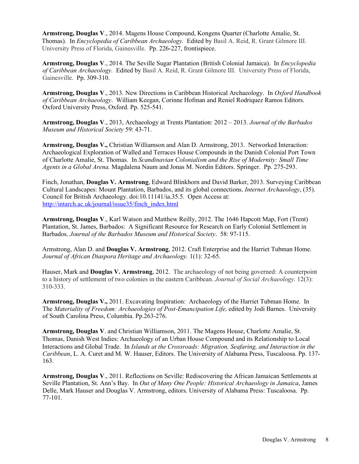**Armstrong, Douglas V**., 2014. Magens House Compound, Kongens Quarter (Charlotte Amalie, St. Thomas). In *Encyclopedia of Caribbean Archaeology.* Edited by Basil A. Reid, R. Grant Gilmore III. University Press of Florida, Gainesville. Pp. 226-227, frontispiece.

**Armstrong, Douglas V**., 2014. The Seville Sugar Plantation (British Colonial Jamaica). In *Encyclopedia of Caribbean Archaeology.* Edited by Basil A. Reid, R. Grant Gilmore III. University Press of Florida, Gainesville. Pp. 309-310.

**Armstrong, Douglas V**., 2013. New Directions in Caribbean Historical Archaeology. In *Oxford Handbook of Caribbean Archaeology*. William Keegan, Corinne Hofman and Reniel Rodriquez Ramos Editors. Oxford University Press, Oxford. Pp. 525-541.

**Armstrong, Douglas V**., 2013, Archaeology at Trents Plantation: 2012 – 2013. *Journal of the Barbados Museum and Historical Society* 59: 43-71.

**Armstrong, Douglas V.,** Christian Williamson and Alan D. Armstrong, 2013. Networked Interaction: Archaeological Exploration of Walled and Terraces House Compounds in the Danish Colonial Port Town of Charlotte Amalie, St. Thomas. In *Scandinavian Colonialism and the Rise of Modernity: Small Time Agents in a Global Arena.* Magdalena Naum and Jonas M. Nordin Editors. Springer. Pp. 275-293.

Finch, Jonathan, **Douglas V. Armstrong**, Edward Blinkhorn and David Barker, 2013. Surveying Caribbean Cultural Landscapes: Mount Plantation, Barbados, and its global connections. *Internet Archaeology*, (35). Council for British Archaeology. doi:10.11141/ia.35.5. Open Access at: [http://intarch.ac.uk/journal/issue35/finch\\_index.html](http://intarch.ac.uk/journal/issue35/finch_index.html)

**Armstrong, Douglas V**., Karl Watson and Matthew Reilly, 2012. The 1646 Hapcott Map, Fort (Trent) Plantation, St. James, Barbados: A Significant Resource for Research on Early Colonial Settlement in Barbados. *Journal of the Barbados Museum and Historical Society*. 58: 97-115.

Armstrong, Alan D. and **Douglas V. Armstrong**, 2012. Craft Enterprise and the Harriet Tubman Home. *Journal of African Diaspora Heritage and Archaeology.* 1(1): 32-65.

Hauser, Mark and **Douglas V. Armstrong**, 2012. The archaeology of not being governed: A counterpoint to a history of settlement of two colonies in the eastern Caribbean. *Journal of Social Archaeology.* 12(3): 310-333.

**Armstrong, Douglas V.,** 2011. Excavating Inspiration: Archaeology of the Harriet Tubman Home. In The *Materiality of Freedom: Archaeologies of Post-Emancipation Life,* edited by Jodi Barnes. University of South Carolina Press, Columbia. Pp.263-276.

**Armstrong, Douglas V**. and Christian Williamson, 2011. The Magens House, Charlotte Amalie, St. Thomas, Danish West Indies: Archaeology of an Urban House Compound and its Relationship to Local Interactions and Global Trade. In *Islands at the Crossroads: Migration, Seafaring, and Interaction in the Caribbean*, L. A. Curet and M. W. Hauser, Editors. The University of Alabama Press, Tuscaloosa. Pp. 137- 163.

**Armstrong, Douglas V**., 2011. Reflections on Seville: Rediscovering the African Jamaican Settlements at Seville Plantation, St. Ann's Bay. In *Out of Many One People: Historical Archaeology in Jamaica*, James Delle, Mark Hauser and Douglas V. Armstrong, editors. University of Alabama Press: Tuscaloosa. Pp. 77-101.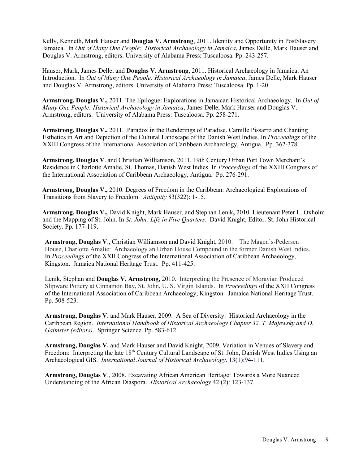Kelly, Kenneth, Mark Hauser and **Douglas V. Armstrong**, 2011. Identity and Opportunity in PostSlavery Jamaica. In *Out of Many One People: Historical Archaeology in Jamaica*, James Delle, Mark Hauser and Douglas V. Armstrong, editors. University of Alabama Press: Tuscaloosa. Pp. 243-257.

Hauser, Mark, James Delle, and **Douglas V. Armstrong**, 2011. Historical Archaeology in Jamaica: An Introduction. In *Out of Many One People: Historical Archaeology in Jamaica*, James Delle, Mark Hauser and Douglas V. Armstrong, editors. University of Alabama Press: Tuscaloosa. Pp. 1-20.

**Armstrong, Douglas V.,** 2011. The Epilogue: Explorations in Jamaican Historical Archaeology. In *Out of Many One People: Historical Archaeology in Jamaica*, James Delle, Mark Hauser and Douglas V. Armstrong, editors. University of Alabama Press: Tuscaloosa. Pp. 258-271.

**Armstrong, Douglas V.,** 2011. Paradox in the Renderings of Paradise. Camille Pissarro and Chanting Esthetics in Art and Depiction of the Cultural Landscape of the Danish West Indies. In *Proceedings* of the XXIII Congress of the International Association of Caribbean Archaeology, Antigua. Pp. 362-378.

**Armstrong, Douglas V**. and Christian Williamson, 2011. 19th Century Urban Port Town Merchant's Residence in Charlotte Amalie, St. Thomas, Danish West Indies. In *Proceedings* of the XXIII Congress of the International Association of Caribbean Archaeology, Antigua. Pp. 276-291.

**Armstrong, Douglas V.,** 2010. Degrees of Freedom in the Caribbean: Archaeological Explorations of Transitions from Slavery to Freedom. *Antiquity* 83(322): 1-15.

**Armstrong, Douglas V.,** David Knight, Mark Hauser, and Stephan Lenik**,** 2010. Lieutenant Peter L. Oxholm and the Mapping of St. John. In *St. John: Life in Five Quarters*. David Knight, Editor. St. John Historical Society. Pp. 177-119.

**Armstrong, Douglas V**., Christian Williamson and David Knight, 2010. The Magen's-Pedersen House, Charlotte Amalie: Archaeology an Urban House Compound in the former Danish West Indies. In *Proceedings* of the XXII Congress of the International Association of Caribbean Archaeology, Kingston. Jamaica National Heritage Trust. Pp. 411-425.

Lenik, Stephan and **Douglas V. Armstrong,** 2010. Interpreting the Presence of Moravian Produced Slipware Pottery at Cinnamon Bay, St. John, U. S. Virgin Islands. In *Proceedings* of the XXII Congress of the International Association of Caribbean Archaeology, Kingston. Jamaica National Heritage Trust. Pp. 508-523.

**Armstrong, Douglas V.** and Mark Hauser, 2009. A Sea of Diversity: Historical Archaeology in the Caribbean Region. *International Handbook of Historical Archaeology Chapter 32. T. Majewsky and D. Gaimster (editors).* Springer Science. Pp. 583-612.

**Armstrong, Douglas V.** and Mark Hauser and David Knight, 2009. Variation in Venues of Slavery and Freedom: Interpreting the late 18<sup>th</sup> Century Cultural Landscape of St. John, Danish West Indies Using an Archaeological GIS. *International Journal of Historical Archaeology*. 13(1):94-111.

**Armstrong, Douglas V**., 2008. Excavating African American Heritage: Towards a More Nuanced Understanding of the African Diaspora. *Historical Archaeology* 42 (2): 123-137.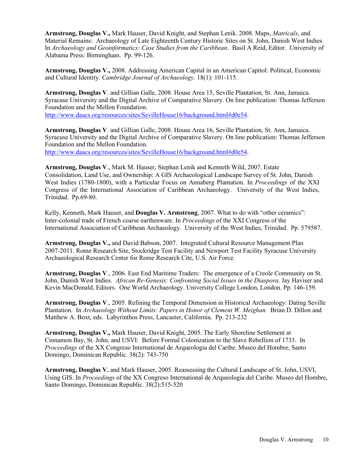**Armstrong, Douglas V.,** Mark Hauser, David Knight, and Stephan Lenik. 2008. Maps, *Matricals*, and Material Remains: Archaeology of Late Eighteenth Century Historic Sites on St. John, Danish West Indies. In *Archaeology and Geoinformatics: Case Studies from the Caribbean*. Basil A Reid, Editor. University of Alabama Press: Birmingham. Pp. 99-126.

**Armstrong, Douglas V.,** 2008. Addressing American Capital in an American Capitol: Political, Economic and Cultural Identity. *Cambridge Journal of Archaeology.* 18(1): 101-115.

**Armstrong, Douglas V**. and Gillian Galle, 2008. House Area 15, Seville Plantation, St. Ann, Jamaica. Syracuse University and the Digital Archive of Comparative Slavery. On line publication: Thomas Jefferson Foundation and the Mellon Foundation.

[http://www.daacs.org/resources/sites/SevilleHouse16/background.html#d0e54.](http://www.daacs.org/resources/sites/SevilleHouse16/background.html#d0e54)

**Armstrong, Douglas V**. and Gillian Galle, 2008. House Area 16, Seville Plantation, St. Ann, Jamaica. Syracuse University and the Digital Archive of Comparative Slavery. On line publication: Thomas Jefferson Foundation and the Mellon Foundation.

[http://www.daacs.org/resources/sites/SevilleHouse16/background.html#d0e54.](http://www.daacs.org/resources/sites/SevilleHouse16/background.html#d0e54)

**Armstrong, Douglas V**., Mark M. Hauser, Stephan Lenik and Kenneth Wild, 2007. Estate Consolidation, Land Use, and Ownership: A GIS Archaeological Landscape Survey of St. John, Danish West Indies (1780-1800), with a Particular Focus on Annaberg Plantation. In *Proceedings* of the XXI Congress of the International Association of Caribbean Archaeology. University of the West Indies, Trinidad. Pp.69-80.

Kelly, Kenneth, Mark Hauser, and **Douglas V. Armstrong**, 2007. What to do with "other ceramics": Inter-colonial trade of French coarse earthenware. In *Proceedings* of the XXI Congress of the International Association of Caribbean Archaeology. University of the West Indies, Trinidad. Pp. 579587.

**Armstrong, Douglas V.,** and David Babson, 2007. Integrated Cultural Resource Management Plan 2007-2011. Rome Research Site, Stockridge Test Facility and Newport Test Facility Syracuse University Archaeological Research Center for Rome Research Cite, U.S. Air Force.

**Armstrong, Douglas V**., 2006. East End Maritime Traders: The emergence of a Creole Community on St. John, Danish West Indies. *African Re-Genesis: Confronting Social Issues in the Diaspora*. Jay Haviser and Kevin MacDonald, Editors. One World Archaeology. University College London, London. Pp. 146-159.

**Armstrong, Douglas V**., 2005. Refining the Temporal Dimension in Historical Archaeology: Dating Seville Plantation. In *Archaeology Without Limits: Papers in Honor of Clement W. Meighan.* Brian D. Dillon and Matthew A. Boxt, eds. Labyrinthos Press, Lancaster, California. Pp. 213-232

**Armstrong, Douglas V.,** Mark Hauser, David Knight, 2005. The Early Shoreline Settlement at Cinnamon Bay, St. John, and USVI: Before Formal Colonization to the Slave Rebellion of 1733. In *Proceedings* of the XX Congreso International de Arqueologia del Caribe. Museo del Hombre, Santo Domingo, Dominican Republic. 38(2): 743-750

**Armstrong, Douglas V.** and Mark Hauser, 2005. Reassessing the Cultural Landscape of St. John, USVI, Using GIS. In *Proceedings* of the XX Congreso International de Arqueologia del Caribe. Museo del Hombre, Santo Domingo, Dominican Republic. 38(2):515-520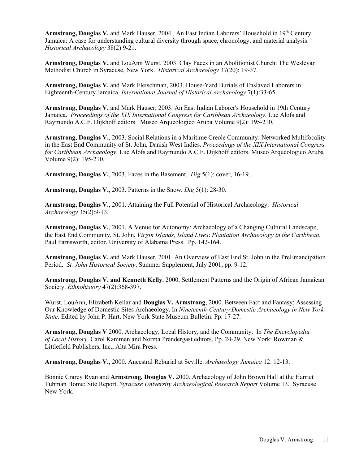**Armstrong, Douglas V.** and Mark Hauser, 2004. An East Indian Laborers' Household in 19th Century Jamaica: A case for understanding cultural diversity through space, chronology, and material analysis. *Historical Archaeology* 38(2) 9-21.

**Armstrong, Douglas V.** and LouAnn Wurst, 2003. Clay Faces in an Abolitionist Church: The Wesleyan Methodist Church in Syracuse, New York. *Historical Archaeology* 37(20): 19-37.

**Armstrong, Douglas V.** and Mark Fleischman, 2003. House-Yard Burials of Enslaved Laborers in Eighteenth-Century Jamaica. *International Journal of Historical Archaeology* 7(1):33-65.

**Armstrong, Douglas V.** and Mark Hauser, 2003. An East Indian Laborer's Household in 19th Century Jamaica. *Proceedings of the XIX International Congress for Caribbean Archaeology*. Luc Alofs and Raymundo A.C.F. Dijkhoff editors. Museo Arqueologico Aruba Volume 9(2): 195-210.

**Armstrong, Douglas V.**, 2003. Social Relations in a Maritime Creole Community: Networked Multifocality in the East End Community of St. John, Danish West Indies. *Proceedings of the XIX International Congress for Caribbean Archaeology*. Luc Alofs and Raymundo A.C.F. Dijkhoff editors. Museo Arqueologico Aruba Volume 9(2): 195-210.

**Armstrong, Douglas V.**, 2003. Faces in the Basement. *Dig* 5(1): cover, 16-19.

**Armstrong, Douglas V.**, 2003. Patterns in the Snow*. Dig* 5(1): 28-30.

**Armstrong, Douglas V.**, 2001. Attaining the Full Potential of Historical Archaeology. *Historical Archaeology* 35(2):9-13.

**Armstrong, Douglas V.**, 2001. A Venue for Autonomy: Archaeology of a Changing Cultural Landscape, the East End Community, St. John, *Virgin Islands, Island Lives*: *Plantation Archaeology in the Caribbean*. Paul Farnsworth, editor. University of Alabama Press. Pp. 142-164.

**Armstrong, Douglas V.** and Mark Hauser, 2001. An Overview of East End St. John in the PreEmancipation Period. *St. John Historical Society*, Summer Supplement, July 2001, pp. 9-12.

**Armstrong, Douglas V. and Kenneth Kelly**, 2000. Settlement Patterns and the Origin of African Jamaican Society. *Ethnohistory* 47(2):368-397.

Wurst, LouAnn, Elizabeth Kellar and **Douglas V. Armstrong**, 2000. Between Fact and Fantasy: Assessing Our Knowledge of Domestic Sites Archaeology. In *Nineteenth-Century Domestic Archaeology in New York State*. Edited by John P. Hart. New York State Museum Bulletin. Pp. 17-27.

**Armstrong, Douglas V** 2000. Archaeology, Local History, and the Community. In *The Encyclopedia of Local History*. Carol Kammen and Norma Prendergast editors, Pp. 24-29. New York: Rowman & Littlefield Publishers, Inc., Alta Mira Press.

**Armstrong, Douglas V.**, 2000. Ancestral Reburial at Seville. *Archaeology Jamaica* 12: 12-13.

Bonnie Crarey Ryan and **Armstrong, Douglas V.** 2000. Archaeology of John Brown Hall at the Harriet Tubman Home: Site Report. *Syracuse University Archaeological Research Report* Volume 13. Syracuse New York.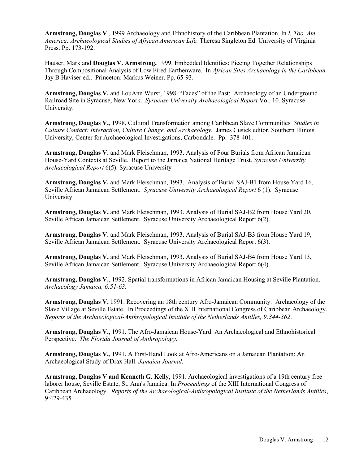**Armstrong, Douglas V**., 1999 Archaeology and Ethnohistory of the Caribbean Plantation. In *I, Too, Am America: Archaeological Studies of African American Life.* Theresa Singleton Ed. University of Virginia Press. Pp. 173-192.

Hauser, Mark and **Douglas V. Armstrong,** 1999. Embedded Identities: Piecing Together Relationships Through Compositional Analysis of Low Fired Earthenware. In *African Sites Archaeology in the Caribbean.* Jay B Haviser ed.. Princeton: Markus Weiner. Pp. 65-93.

**Armstrong, Douglas V.** and LouAnn Wurst, 1998. "Faces" of the Past: Archaeology of an Underground Railroad Site in Syracuse, New York. *Syracuse University Archaeological Report* Vol. 10. Syracuse University.

**Armstrong, Douglas V.**, 1998. Cultural Transformation among Caribbean Slave Communities*. Studies in Culture Contact: Interaction, Culture Change, and Archaeology.* James Cusick editor. Southern Illinois University, Center for Archaeological Investigations, Carbondale. Pp. 378-401.

**Armstrong, Douglas V.** and Mark Fleischman, 1993. Analysis of Four Burials from African Jamaican House-Yard Contexts at Seville. Report to the Jamaica National Heritage Trust. *Syracuse University Archaeological Report* 6(5). Syracuse University

**Armstrong, Douglas V.** and Mark Fleischman, 1993. Analysis of Burial SAJ-B1 from House Yard 16, Seville African Jamaican Settlement. *Syracuse University Archaeological Report* 6 (1). Syracuse University.

**Armstrong, Douglas V.** and Mark Fleischman, 1993. Analysis of Burial SAJ-B2 from House Yard 20, Seville African Jamaican Settlement. Syracuse University Archaeological Report 6(2).

**Armstrong, Douglas V.** and Mark Fleischman, 1993. Analysis of Burial SAJ-B3 from House Yard 19, Seville African Jamaican Settlement. Syracuse University Archaeological Report 6(3).

**Armstrong, Douglas V.** and Mark Fleischman, 1993. Analysis of Burial SAJ-B4 from House Yard 13, Seville African Jamaican Settlement. Syracuse University Archaeological Report 6(4).

**Armstrong, Douglas V.**, 1992. Spatial transformations in African Jamaican Housing at Seville Plantation. *Archaeology Jamaica, 6:51-63.* 

**Armstrong, Douglas V.** 1991. Recovering an 18th century Afro-Jamaican Community: Archaeology of the Slave Village at Seville Estate. In Proceedings of the XIII International Congress of Caribbean Archaeology. *Reports of the Archaeological-Anthropological Institute of the Netherlands Antilles, 9:344-362*.

**Armstrong, Douglas V.**, 1991. The Afro-Jamaican House-Yard: An Archaeological and Ethnohistorical Perspective. *The Florida Journal of Anthropology*.

**Armstrong, Douglas V.**, 1991. A First-Hand Look at Afro-Americans on a Jamaican Plantation: An Archaeological Study of Drax Hall. *Jamaica Journal.*

**Armstrong, Douglas V and Kenneth G. Kelly**, 1991. Archaeological investigations of a 19th century free laborer house, Seville Estate, St. Ann's Jamaica. In *Proceedings* of the XIII International Congress of Caribbean Archaeology. *Reports of the Archaeological-Anthropological Institute of the Netherlands Antilles*, 9:429-435*.*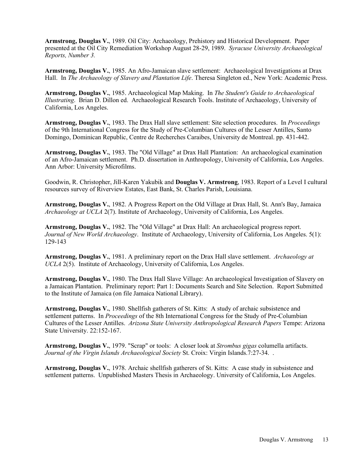**Armstrong, Douglas V.**, 1989. Oil City: Archaeology, Prehistory and Historical Development. Paper presented at the Oil City Remediation Workshop August 28-29, 1989. *Syracuse University Archaeological Reports, Number 3.* 

**Armstrong, Douglas V.**, 1985. An Afro-Jamaican slave settlement: Archaeological Investigations at Drax Hall. In *The Archaeology of Slavery and Plantation Life*. Theresa Singleton ed., New York: Academic Press.

**Armstrong, Douglas V.**, 1985. Archaeological Map Making. In *The Student's Guide to Archaeological Illustrating*. Brian D. Dillon ed. Archaeological Research Tools. Institute of Archaeology, University of California, Los Angeles.

**Armstrong, Douglas V.**, 1983. The Drax Hall slave settlement: Site selection procedures. In *Proceedings* of the 9th International Congress for the Study of Pre-Columbian Cultures of the Lesser Antilles, Santo Domingo, Dominican Republic, Centre de Recherches Caraibes, University de Montreal. pp. 431-442.

**Armstrong, Douglas V.**, 1983. The "Old Village" at Drax Hall Plantation: An archaeological examination of an Afro-Jamaican settlement. Ph.D. dissertation in Anthropology, University of California, Los Angeles. Ann Arbor: University Microfilms.

Goodwin, R. Christopher, Jill-Karen Yakubik and **Douglas V. Armstrong**, 1983. Report of a Level I cultural resources survey of Riverview Estates, East Bank, St. Charles Parish, Louisiana.

**Armstrong, Douglas V.**, 1982. A Progress Report on the Old Village at Drax Hall, St. Ann's Bay, Jamaica *Archaeology at UCLA* 2(7). Institute of Archaeology, University of California, Los Angeles.

**Armstrong, Douglas V.**, 1982. The "Old Village" at Drax Hall: An archaeological progress report. *Journal of New World Archaeology*. Institute of Archaeology, University of California, Los Angeles. 5(1): 129-143

**Armstrong, Douglas V.**, 1981. A preliminary report on the Drax Hall slave settlement. *Archaeology at UCLA* 2(5). Institute of Archaeology, University of California, Los Angeles.

**Armstrong, Douglas V.**, 1980. The Drax Hall Slave Village: An archaeological Investigation of Slavery on a Jamaican Plantation. Preliminary report: Part 1: Documents Search and Site Selection. Report Submitted to the Institute of Jamaica (on file Jamaica National Library).

**Armstrong, Douglas V.**, 1980. Shellfish gatherers of St. Kitts: A study of archaic subsistence and settlement patterns. In *Proceedings* of the 8th International Congress for the Study of Pre-Columbian Cultures of the Lesser Antilles. *Arizona State University Anthropological Research Papers* Tempe: Arizona State University. 22:152-167.

**Armstrong, Douglas V.**, 1979. "Scrap" or tools: A closer look at *Strombus gigas* columella artifacts. *Journal of the Virgin Islands Archaeological Society* St. Croix: Virgin Islands.7:27-34. .

**Armstrong, Douglas V.**, 1978. Archaic shellfish gatherers of St. Kitts: A case study in subsistence and settlement patterns. Unpublished Masters Thesis in Archaeology. University of California, Los Angeles.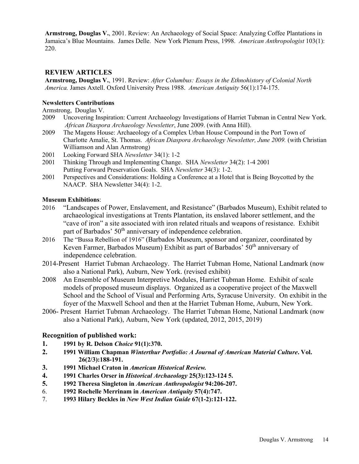**Armstrong, Douglas V.**, 2001. Review: An Archaeology of Social Space: Analyzing Coffee Plantations in Jamaica's Blue Mountains. James Delle. New York Plenum Press, 1998. *American Anthropologist* 103(1): 220.

# **REVIEW ARTICLES**

**Armstrong, Douglas V.**, 1991. Review: *After Columbus: Essays in the Ethnohistory of Colonial North America.* James Axtell. Oxford University Press 1988. *American Antiquity* 56(1):174-175.

#### **Newsletters Contributions**

Armstrong, Douglas V.

- 2009 Uncovering Inspiration: Current Archaeology Investigations of Harriet Tubman in Central New York. *African Diaspora Archaeology Newsletter*, June 2009. (with Anna Hill).
- 2009 The Magens House: Archaeology of a Complex Urban House [Compound in the Port Town of](http://www.diaspora.uiuc.edu/news0609/news0609.html#4) [Charlotte Amalie, St. Thomas.](http://www.diaspora.uiuc.edu/news0609/news0609.html#4) *African Diaspora Archaeology Newsletter, June 2009.* (with Christian Williamson and Alan Armstrong)
- 2001 Looking Forward SHA *Newsletter* 34(1): 1-2
- 2001 Thinking Through and Implementing Change. SHA *Newsletter* 34(2): 1-4 2001 Putting Forward Preservation Goals. SHA *Newsletter* 34(3): 1-2.
- 2001 Perspectives and Considerations: Holding a Conference at a Hotel that is Being Boycotted by the NAACP. SHA Newsletter 34(4): 1-2.

#### **Museum Exhibitions**:

- 2016 "Landscapes of Power, Enslavement, and Resistance" (Barbados Museum), Exhibit related to archaeological investigations at Trents Plantation, its enslaved laborer settlement, and the "cave of iron" a site associated with iron related rituals and weapons of resistance. Exhibit part of Barbados' 50<sup>th</sup> anniversary of independence celebration.
- 2016 The "Bussa Rebellion of 1916" (Barbados Museum, sponsor and organizer, coordinated by Keven Farmer, Barbados Museum) Exhibit as part of Barbados' 50<sup>th</sup> anniversary of independence celebration.
- 2014-Present Harriet Tubman Archaeology. The Harriet Tubman Home, National Landmark (now also a National Park), Auburn, New York. (revised exhibit)
- 2008 An Ensemble of Museum Interpretive Modules, Harriet Tubman Home. Exhibit of scale models of proposed museum displays. Organized as a cooperative project of the Maxwell School and the School of Visual and Performing Arts, Syracuse University. On exhibit in the foyer of the Maxwell School and then at the Harriet Tubman Home, Auburn, New York.
- 2006- Present Harriet Tubman Archaeology. The Harriet Tubman Home, National Landmark (now also a National Park), Auburn, New York (updated, 2012, 2015, 2019)

## **Recognition of published work:**

- **1. 1991 by R. Delson** *Choice* **91(1):370.**
- **2. 1991 William Chapman** *Winterthur Portfolio: A Journal of American Material Culture***. Vol. 26(2/3):188-191.**
- **3. 1991 Michael Craton in** *American Historical Review.*
- **4. 1991 Charles Orser in** *Historical Archaeology* **25(3):123-124 5.**
- **5. 1992 Theresa Singleton in** *American Anthropologist* **94:206-207.**
- 6. **1992 Rochelle Merrinam in** *American Antiquity* **57(4):747.**
- 7. **1993 Hilary Beckles in** *New West Indian Guide* **67(1-2):121-122.**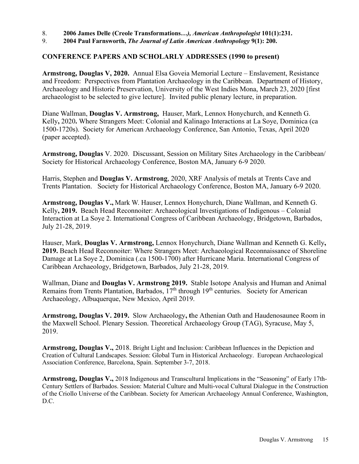8. **2006 James Delle (Creole Transformations***…), American Anthropologist* **101(1):231.** 

9. **2004 Paul Farnsworth,** *The Journal of Latin American Anthropology* **9(1): 200.** 

# **CONFERENCE PAPERS AND SCHOLARLY ADDRESSES (1990 to present)**

**Armstrong, Douglas V, 2020.** Annual Elsa Goveia Memorial Lecture – Enslavement, Resistance and Freedom: Perspectives from Plantation Archaeology in the Caribbean. Department of History, Archaeology and Historic Preservation, University of the West Indies Mona, March 23, 2020 [first archaeologist to be selected to give lecture]. Invited public plenary lecture, in preparation.

Diane Wallman, **Douglas V. Armstrong,** Hauser, Mark, Lennox Honychurch, and Kenneth G. Kelly**,** 2020**.** Where Strangers Meet: Colonial and Kalinago Interactions at La Soye, Dominica (ca 1500-1720s). Society for American Archaeology Conference, San Antonio, Texas, April 2020 (paper accepted).

**Armstrong, Douglas** V. 2020. Discussant, Session on Military Sites Archaeology in the Caribbean/ Society for Historical Archaeology Conference, Boston MA, January 6-9 2020.

Harris, Stephen and **Douglas V. Armstrong**, 2020, XRF Analysis of metals at Trents Cave and Trents Plantation. Society for Historical Archaeology Conference, Boston MA, January 6-9 2020.

**Armstrong, Douglas V.,** Mark W. Hauser, Lennox Honychurch, Diane Wallman, and Kenneth G. Kelly**, 2019.** Beach Head Reconnoiter: Archaeological Investigations of Indigenous – Colonial Interaction at La Soye 2. International Congress of Caribbean Archaeology, Bridgetown, Barbados, July 21-28, 2019.

Hauser, Mark, **Douglas V. Armstrong,** Lennox Honychurch, Diane Wallman and Kenneth G. Kelly**, 2019.** Beach Head Reconnoiter: Where Strangers Meet: Archaeological Reconnaissance of Shoreline Damage at La Soye 2, Dominica (.ca 1500-1700) after Hurricane Maria. International Congress of Caribbean Archaeology, Bridgetown, Barbados, July 21-28, 2019.

Wallman, Diane and **Douglas V. Armstrong 2019.** Stable Isotope Analysis and Human and Animal Remains from Trents Plantation, Barbados,  $17<sup>th</sup>$  through  $19<sup>th</sup>$  centuries. Society for American Archaeology, Albuquerque, New Mexico, April 2019.

**Armstrong, Douglas V. 2019.** Slow Archaeology**, t**he Athenian Oath and Haudenosaunee Room in the Maxwell School. Plenary Session. Theoretical Archaeology Group (TAG), Syracuse, May 5, 2019.

**Armstrong, Douglas V.,** 2018. Bright Light and Inclusion: Caribbean Influences in the Depiction and Creation of Cultural Landscapes. Session: Global Turn in Historical Archaeology. European Archaeological Association Conference, Barcelona, Spain. September 3-7, 2018.

**Armstrong, Douglas V.,** 2018 Indigenous and Transcultural Implications in the "Seasoning" of Early 17th-Century Settlers of Barbados. Session: Material Culture and Multi-vocal Cultural Dialogue in the Construction of the Criollo Universe of the Caribbean. Society for American Archaeology Annual Conference, Washington, D.C.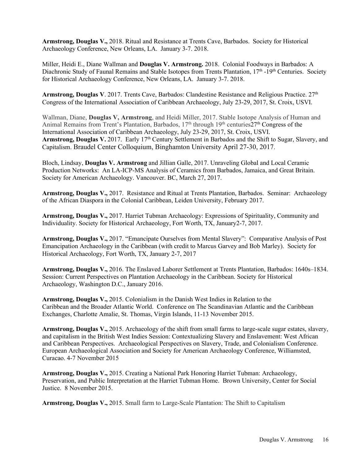**Armstrong, Douglas V.,** 2018. Ritual and Resistance at Trents Cave, Barbados. Society for Historical Archaeology Conference, New Orleans, LA. January 3-7. 2018.

Miller, Heidi E., Diane Wallman and **Douglas V. Armstrong.** 2018. Colonial Foodways in Barbados: A Diachronic Study of Faunal Remains and Stable Isotopes from Trents Plantation, 17<sup>th</sup> -19<sup>th</sup> Centuries. Society for Historical Archaeology Conference, New Orleans, LA. January 3-7. 2018.

**Armstrong, Douglas V**. 2017. Trents Cave, Barbados: Clandestine Resistance and Religious Practice. 27th Congress of the International Association of Caribbean Archaeology, July 23-29, 2017, St. Croix, USVI.

Wallman, Diane, **Douglas V, Armstrong**, and Heidi Miller, 2017. Stable Isotope Analysis of Human and Animal Remains from Trent's Plantation, Barbados, 17<sup>th</sup> through 19<sup>th</sup> centuries27<sup>th</sup> Congress of the International Association of Caribbean Archaeology, July 23-29, 2017, St. Croix, USVI. Armstrong, Douglas V. 2017. Early 17<sup>th</sup> Century Settlement in Barbados and the Shift to Sugar, Slavery, and Capitalism. Braudel Center Colloquium, Binghamton University April 27-30, 2017.

Bloch, Lindsay, **Douglas V. Armstrong** and Jillian Galle, 2017. Unraveling Global and Local Ceramic Production Networks: An LA-ICP-MS Analysis of Ceramics from Barbados, Jamaica, and Great Britain. Society for American Archaeology. Vancouver. BC, March 27, 2017.

**Armstrong, Douglas V.,** 2017. Resistance and Ritual at Trents Plantation, Barbados. Seminar: Archaeology of the African Diaspora in the Colonial Caribbean, Leiden University, February 2017.

**Armstrong, Douglas V.,** 2017. Harriet Tubman Archaeology: Expressions of Spirituality, Community and Individuality. Society for Historical Archaeology, Fort Worth, TX, January2-7, 2017.

**Armstrong, Douglas V.,** 2017. "Emancipate Ourselves from Mental Slavery": Comparative Analysis of Post Emancipation Archaeology in the Caribbean (with credit to Marcus Garvey and Bob Marley). Society for Historical Archaeology, Fort Worth, TX, January 2-7, 2017

**Armstrong, Douglas V.,** 2016. The Enslaved Laborer Settlement at Trents Plantation, Barbados: 1640s–1834. Session: Current Perspectives on Plantation Archaeology in the Caribbean. Society for Historical Archaeology, Washington D.C., January 2016.

**Armstrong, Douglas V.,** 2015. Colonialism in the Danish West Indies in Relation to the Caribbean and the Broader Atlantic World. Conference on The Scandinavian Atlantic and the Caribbean Exchanges, Charlotte Amalie, St. Thomas, Virgin Islands, 11-13 November 2015.

**Armstrong, Douglas V.,** 2015. Archaeology of the shift from small farms to large-scale sugar estates, slavery, and capitalism in the British West Indies Session: Contextualizing Slavery and Enslavement: West African and Caribbean Perspectives. Archaeological Perspectives on Slavery, Trade, and Colonialism Conference. European Archaeological Association and Society for American Archaeology Conference, Williamsted, Curacao. 4-7 November 2015

**Armstrong, Douglas V.,** 2015. Creating a National Park Honoring Harriet Tubman: Archaeology, Preservation, and Public Interpretation at the Harriet Tubman Home. Brown University, Center for Social Justice. 8 November 2015.

**Armstrong, Douglas V.,** 2015. Small farm to Large-Scale Plantation: The Shift to Capitalism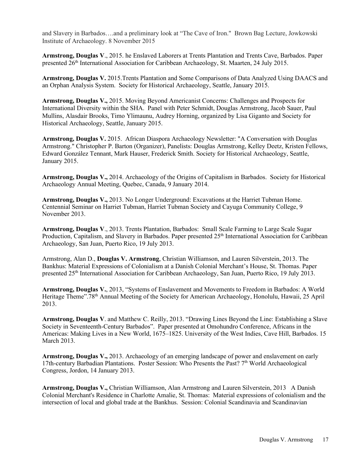and Slavery in Barbados….and a preliminary look at "The Cave of Iron." Brown Bag Lecture, Jowkowski Institute of Archaeology. 8 November 2015

**Armstrong, Douglas V**., 2015. he Enslaved Laborers at Trents Plantation and Trents Cave, Barbados. Paper presented 26th International Association for Caribbean Archaeology, St. Maarten, 24 July 2015.

**Armstrong, Douglas V.** 2015.Trents Plantation and Some Comparisons of Data Analyzed Using DAACS and an Orphan Analysis System. Society for Historical Archaeology, Seattle, January 2015.

**Armstrong, Douglas V.,** 2015. Moving Beyond Americanist Concerns: Challenges and Prospects for International Diversity within the SHA.Panel with Peter Schmidt, Douglas Armstrong, Jacob Sauer, Paul Mullins, Alasdair Brooks, Timo Ylimaunu, Audrey Horning, organized by Lisa Giganto and Society for Historical Archaeology, Seattle, January 2015.

**Armstrong, Douglas V.** 2015.African Diaspora Archaeology Newsletter: "A Conversation with Douglas Armstrong." Christopher P. Barton (Organizer), Panelists: Douglas Armstrong, Kelley Deetz, Kristen Fellows, Edward González Tennant, Mark Hauser, Frederick Smith. Society for Historical Archaeology, Seattle, January 2015.

**Armstrong, Douglas V.,** 2014. Archaeology of the Origins of Capitalism in Barbados. Society for Historical Archaeology Annual Meeting, Quebec, Canada, 9 January 2014.

**Armstrong, Douglas V.,** 2013. No Longer Underground: Excavations at the Harriet Tubman Home. Centennial Seminar on Harriet Tubman, Harriet Tubman Society and Cayuga Community College, 9 November 2013.

**Armstrong, Douglas V**., 2013. Trents Plantation, Barbados: Small Scale Farming to Large Scale Sugar Production, Capitalism, and Slavery in Barbados. Paper presented 25<sup>th</sup> International Association for Caribbean Archaeology, San Juan, Puerto Rico, 19 July 2013.

Armstrong, Alan D., **Douglas V. Armstrong**, Christian Williamson, and Lauren Silverstein, 2013. The Bankhus: Material Expressions of Colonialism at a Danish Colonial Merchant's House, St. Thomas. Paper presented 25th International Association for Caribbean Archaeology, San Juan, Puerto Rico, 19 July 2013.

**Armstrong, Douglas V.**, 2013, "Systems of Enslavement and Movements to Freedom in Barbados: A World Heritage Theme".78<sup>th</sup> Annual Meeting of the Society for American Archaeology, Honolulu, Hawaii, 25 April 2013.

**Armstrong, Douglas V**. and Matthew C. Reilly, 2013. "Drawing Lines Beyond the Line: Establishing a Slave Society in Seventeenth-Century Barbados". Paper presented at Omohundro Conference, Africans in the Americas: Making Lives in a New World, 1675–1825. University of the West Indies, Cave Hill, Barbados. 15 March 2013.

**Armstrong, Douglas V.,** 2013. Archaeology of an emerging landscape of power and enslavement on early 17th-century Barbadian Plantations. Poster Session: Who Presents the Past? 7<sup>th</sup> World Archaeological Congress, Jordon, 14 January 2013.

**Armstrong, Douglas V.,** Christian Williamson, Alan Armstrong and Lauren Silverstein, 2013 A Danish Colonial Merchant's Residence in Charlotte Amalie, St. Thomas: Material expressions of colonialism and the intersection of local and global trade at the Bankhus. Session: Colonial Scandinavia and Scandinavian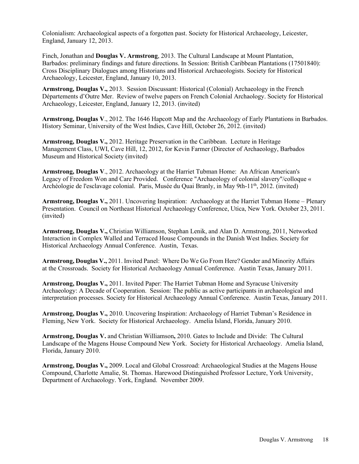Colonialism: Archaeological aspects of a forgotten past. Society for Historical Archaeology, Leicester, England, January 12, 2013.

Finch, Jonathan and **Douglas V. Armstrong**, 2013. The Cultural Landscape at Mount Plantation, Barbados: preliminary findings and future directions. In Session: British Caribbean Plantations (17501840): Cross Disciplinary Dialogues among Historians and Historical Archaeologists. Society for Historical Archaeology, Leicester, England, January 10, 2013.

**Armstrong, Douglas V.,** 2013. Session Discussant: Historical (Colonial) Archaeology in the French Départements d'Outre Mer. Review of twelve papers on French Colonial Archaology. Society for Historical Archaeology, Leicester, England, January 12, 2013. (invited)

**Armstrong, Douglas V**., 2012. The 1646 Hapcott Map and the Archaeology of Early Plantations in Barbados. History Seminar, University of the West Indies, Cave Hill, October 26, 2012. (invited)

**Armstrong, Douglas V.,** 2012. Heritage Preservation in the Caribbean. Lecture in Heritage Management Class, UWI, Cave Hill, 12, 2012, for Kevin Farmer (Director of Archaeology, Barbados Museum and Historical Society (invited)

**Armstrong, Douglas V**., 2012. Archaeology at the Harriet Tubman Home: An African American's Legacy of Freedom Won and Care Provided. Conference "Archaeology of colonial slavery"/colloque « Archéologie de l'esclavage colonial. Paris, Musée du Quai Branly, in May 9th-11<sup>th</sup>, 2012. (invited)

**Armstrong, Douglas V.,** 2011. Uncovering Inspiration: Archaeology at the Harriet Tubman Home – Plenary Presentation. Council on Northeast Historical Archaeology Conference, Utica, New York. October 23, 2011. (invited)

**Armstrong, Douglas V.,** Christian Williamson, Stephan Lenik, and Alan D. Armstrong, 2011, Networked Interaction in Complex Walled and Terraced House Compounds in the Danish West Indies. Society for Historical Archaeology Annual Conference. Austin, Texas.

**Armstrong, Douglas V.,** 2011. Invited Panel: Where Do We Go From Here? Gender and Minority Affairs at the Crossroads. Society for Historical Archaeology Annual Conference. Austin Texas, January 2011.

**Armstrong, Douglas V.,** 2011. Invited Paper: The Harriet Tubman Home and Syracuse University Archaeology: A Decade of Cooperation. Session: The public as active participants in archaeological and interpretation processes. Society for Historical Archaeology Annual Conference. Austin Texas, January 2011.

**Armstrong, Douglas V.,** 2010. Uncovering Inspiration: Archaeology of Harriet Tubman's Residence in Fleming, New York. Society for Historical Archaeology. Amelia Island, Florida, January 2010.

**Armstrong, Douglas V.** and Christian Williamson**,** 2010. Gates to Include and Divide: The Cultural Landscape of the Magens House Compound New York. Society for Historical Archaeology. Amelia Island, Florida, January 2010.

**Armstrong, Douglas V.,** 2009. Local and Global Crossroad: Archaeological Studies at the Magens House Compound, Charlotte Amalie, St. Thomas. Harewood Distinguished Professor Lecture, York University, Department of Archaeology. York, England. November 2009.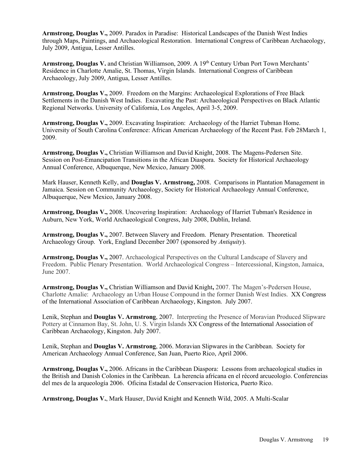**Armstrong, Douglas V.,** 2009. Paradox in Paradise: Historical Landscapes of the Danish West Indies through Maps, Paintings, and Archaeological Restoration. International Congress of Caribbean Archaeology, July 2009, Antigua, Lesser Antilles.

Armstrong, Douglas V. and Christian Williamson, 2009. A 19<sup>th</sup> Century Urban Port Town Merchants' Residence in Charlotte Amalie, St. Thomas, Virgin Islands. International Congress of Caribbean Archaeology, July 2009, Antigua, Lesser Antilles.

**Armstrong, Douglas V.,** 2009. Freedom on the Margins: Archaeological Explorations of Free Black Settlements in the Danish West Indies. Excavating the Past: Archaeological Perspectives on Black Atlantic Regional Networks. University of California, Los Angeles, April 3-5, 2009.

**Armstrong, Douglas V.,** 2009. Excavating Inspiration: Archaeology of the Harriet Tubman Home. University of South Carolina Conference: African American Archaeology of the Recent Past. Feb 28March 1, 2009.

**Armstrong, Douglas V.,** Christian Williamson and David Knight, 2008. The Magens-Pedersen Site. Session on Post-Emancipation Transitions in the African Diaspora. Society for Historical Archaeology Annual Conference, Albuquerque, New Mexico, January 2008.

Mark Hauser, Kenneth Kelly, and **Douglas V. Armstrong,** 2008. Comparisons in Plantation Management in Jamaica. Session on Community Archaeology, Society for Historical Archaeology Annual Conference, Albuquerque, New Mexico, January 2008.

**Armstrong, Douglas V.,** 2008. Uncovering Inspiration: Archaeology of Harriet Tubman's Residence in Auburn, New York, World Archaeological Congress, July 2008, Dublin, Ireland.

**Armstrong, Douglas V.,** 2007. Between Slavery and Freedom. Plenary Presentation. Theoretical Archaeology Group. York, England December 2007 (sponsored by *Antiquity*).

**Armstrong, Douglas V.,** 2007. Archaeological Perspectives on the Cultural Landscape of Slavery and Freedom. Public Plenary Presentation. World Archaeological Congress – Intercessional, Kingston, Jamaica, June 2007.

**Armstrong, Douglas V.,** Christian Williamson and David Knight**,** 2007. The Magen's-Pedersen House, Charlotte Amalie: Archaeology an Urban House Compound in the former Danish West Indies. XX Congress of the International Association of Caribbean Archaeology, Kingston. July 2007.

Lenik, Stephan and **Douglas V. Armstrong**, 2007. Interpreting the Presence of Moravian Produced Slipware Pottery at Cinnamon Bay, St. John, U. S. Virgin Islands XX Congress of the International Association of Caribbean Archaeology, Kingston. July 2007.

Lenik, Stephan and **Douglas V. Armstrong**, 2006. Moravian Slipwares in the Caribbean. Society for American Archaeology Annual Conference, San Juan, Puerto Rico, April 2006.

**Armstrong, Douglas V.,** 2006. Africans in the Caribbean Diaspora: Lessons from archaeological studies in the British and Danish Colonies in the Caribbean. La herencía afrícana en el récord arcueologío. Conferencias del mes de la arqueología 2006. Oficina Estadal de Conservacion Historica, Puerto Rico.

**Armstrong, Douglas V.**, Mark Hauser, David Knight and Kenneth Wild, 2005. A Multi-Scalar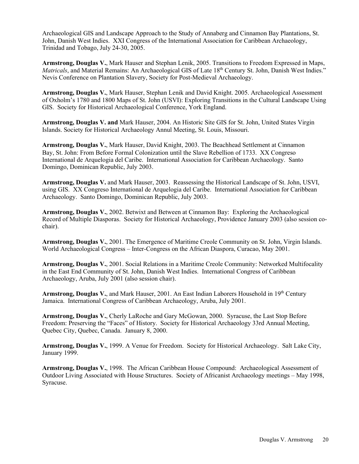Archaeological GIS and Landscape Approach to the Study of Annaberg and Cinnamon Bay Plantations, St. John, Danish West Indies. XXI Congress of the International Association for Caribbean Archaeology, Trinidad and Tobago, July 24-30, 2005.

**Armstrong, Douglas V.**, Mark Hauser and Stephan Lenik, 2005. Transitions to Freedom Expressed in Maps, *Matricals*, and Material Remains: An Archaeological GIS of Late 18<sup>th</sup> Century St. John, Danish West Indies." Nevis Conference on Plantation Slavery, Society for Post-Medieval Archaeology.

**Armstrong, Douglas V.**, Mark Hauser, Stephan Lenik and David Knight. 2005. Archaeological Assessment of Oxholm's 1780 and 1800 Maps of St. John (USVI): Exploring Transitions in the Cultural Landscape Using GIS. Society for Historical Archaeological Conference, York England.

**Armstrong, Douglas V. and** Mark Hauser, 2004. An Historic Site GIS for St. John, United States Virgin Islands. Society for Historical Archaeology Annul Meeting, St. Louis, Missouri.

**Armstrong, Douglas V.**, Mark Hauser, David Knight, 2003. The Beachhead Settlement at Cinnamon Bay, St. John: From Before Formal Colonization until the Slave Rebellion of 1733. XX Congreso International de Arquelogia del Caribe. International Association for Caribbean Archaeology. Santo Domingo, Dominican Republic, July 2003.

**Armstrong, Douglas V.** and Mark Hauser, 2003. Reassessing the Historical Landscape of St. John, USVI, using GIS. XX Congreso International de Arquelogia del Caribe. International Association for Caribbean Archaeology. Santo Domingo, Dominican Republic, July 2003.

**Armstrong, Douglas V.**, 2002. Betwixt and Between at Cinnamon Bay: Exploring the Archaeological Record of Multiple Diasporas. Society for Historical Archaeology, Providence January 2003 (also session cochair).

**Armstrong, Douglas V.**, 2001. The Emergence of Maritime Creole Community on St. John, Virgin Islands. World Archaeological Congress – Inter-Congress on the African Diaspora, Curacao, May 2001.

**Armstrong, Douglas V.**, 2001. Social Relations in a Maritime Creole Community: Networked Multifocality in the East End Community of St. John, Danish West Indies. International Congress of Caribbean Archaeology, Aruba, July 2001 (also session chair).

Armstrong, Douglas V., and Mark Hauser, 2001. An East Indian Laborers Household in 19th Century Jamaica. International Congress of Caribbean Archaeology, Aruba, July 2001.

**Armstrong, Douglas V.**, Cherly LaRoche and Gary McGowan, 2000. Syracuse, the Last Stop Before Freedom: Preserving the "Faces" of History. Society for Historical Archaeology 33rd Annual Meeting, Quebec City, Quebec, Canada. January 8, 2000.

**Armstrong, Douglas V.**, 1999. A Venue for Freedom. Society for Historical Archaeology. Salt Lake City, January 1999.

**Armstrong, Douglas V.**, 1998. The African Caribbean House Compound: Archaeological Assessment of Outdoor Living Associated with House Structures. Society of Africanist Archaeology meetings – May 1998, Syracuse.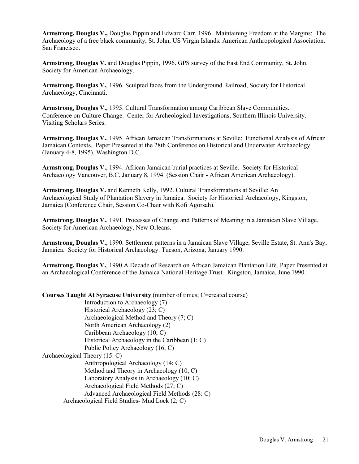**Armstrong, Douglas V.,** Douglas Pippin and Edward Carr, 1996. Maintaining Freedom at the Margins: The Archaeology of a free black community, St. John, US Virgin Islands. American Anthropological Association. San Francisco.

**Armstrong, Douglas V.** and Douglas Pippin, 1996. GPS survey of the East End Community, St. John. Society for American Archaeology.

**Armstrong, Douglas V.**, 1996. Sculpted faces from the Underground Railroad, Society for Historical Archaeology, Cincinnati.

**Armstrong, Douglas V.**, 1995. Cultural Transformation among Caribbean Slave Communities. Conference on Culture Change. Center for Archeological Investigations, Southern Illinois University. Visiting Scholars Series.

**Armstrong, Douglas V.**, 1995. African Jamaican Transformations at Seville: Functional Analysis of African Jamaican Contexts. Paper Presented at the 28th Conference on Historical and Underwater Archaeology (January 4-8, 1995). Washington D.C.

**Armstrong, Douglas V.**, 1994. African Jamaican burial practices at Seville. Society for Historical Archaeology Vancouver, B.C. January 8, 1994. (Session Chair - African American Archaeology).

**Armstrong, Douglas V.** and Kenneth Kelly, 1992. Cultural Transformations at Seville: An Archaeological Study of Plantation Slavery in Jamaica. Society for Historical Archaeology, Kingston, Jamaica (Conference Chair, Session Co-Chair with Kofi Agorsah).

**Armstrong, Douglas V.**, 1991. Processes of Change and Patterns of Meaning in a Jamaican Slave Village. Society for American Archaeology, New Orleans.

**Armstrong, Douglas V.**, 1990. Settlement patterns in a Jamaican Slave Village, Seville Estate, St. Ann's Bay, Jamaica. Society for Historical Archaeology. Tucson, Arizona, January 1990.

**Armstrong, Douglas V.**, 1990 A Decade of Research on African Jamaican Plantation Life. Paper Presented at an Archaeological Conference of the Jamaica National Heritage Trust. Kingston, Jamaica, June 1990.

**Courses Taught At Syracuse University** (number of times; C=created course)

Introduction to Archaeology (7) Historical Archaeology (23; C) Archaeological Method and Theory (7; C) North American Archaeology (2) Caribbean Archaeology (10; C) Historical Archaeology in the Caribbean (1; C) Public Policy Archaeology (16; C) Archaeological Theory (15: C) Anthropological Archaeology (14; C) Method and Theory in Archaeology (10, C) Laboratory Analysis in Archaeology (10; C) Archaeological Field Methods (27; C) Advanced Archaeological Field Methods (28: C) Archaeological Field Studies- Mud Lock (2; C)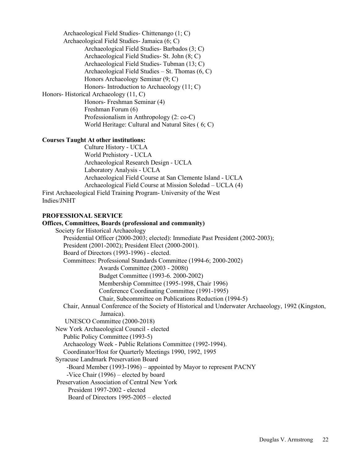Archaeological Field Studies- Chittenango (1; C) Archaeological Field Studies- Jamaica (6; C) Archaeological Field Studies- Barbados (3; C) Archaeological Field Studies- St. John (8; C) Archaeological Field Studies- Tubman (13; C) Archaeological Field Studies – St. Thomas (6, C) Honors Archaeology Seminar (9; C) Honors- Introduction to Archaeology (11; C) Honors- Historical Archaeology (11, C) Honors- Freshman Seminar (4) Freshman Forum (6) Professionalism in Anthropology (2: co-C) World Heritage: Cultural and Natural Sites ( 6; C)

#### **Courses Taught At other institutions:**

Culture History - UCLA World Prehistory - UCLA Archaeological Research Design - UCLA Laboratory Analysis - UCLA Archaeological Field Course at San Clemente Island - UCLA Archaeological Field Course at Mission Soledad – UCLA (4) First Archaeological Field Training Program- University of the West

Indies/JNHT

# **PROFESSIONAL SERVICE Offices, Committees, Boards (professional and community)**  Society for Historical Archaeology Presidential Officer (2000-2003; elected): Immediate Past President (2002-2003); President (2001-2002); President Elect (2000-2001). Board of Directors (1993-1996) - elected. Committees: Professional Standards Committee (1994-6; 2000-2002) Awards Committee (2003 - 2008t) Budget Committee (1993-6. 2000-2002) Membership Committee (1995-1998, Chair 1996) Conference Coordinating Committee (1991-1995) Chair, Subcommittee on Publications Reduction (1994-5) Chair, Annual Conference of the Society of Historical and Underwater Archaeology, 1992 (Kingston, Jamaica). UNESCO Committee (2000-2018) New York Archaeological Council - elected Public Policy Committee (1993-5) Archaeology Week - Public Relations Committee (1992-1994). Coordinator/Host for Quarterly Meetings 1990, 1992, 1995 Syracuse Landmark Preservation Board -Board Member (1993-1996) – appointed by Mayor to represent PACNY -Vice Chair (1996) – elected by board Preservation Association of Central New York President 1997-2002 - elected Board of Directors 1995-2005 – elected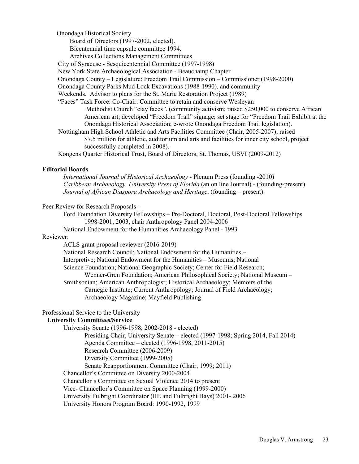Onondaga Historical Society

Board of Directors (1997-2002, elected).

Bicentennial time capsule committee 1994.

Archives Collections Management Committees

City of Syracuse - Sesquicentennial Committee (1997-1998)

New York State Archaeological Association - Beauchamp Chapter

Onondaga County – Legislature: Freedom Trail Commission – Commissioner (1998-2000)

Onondaga County Parks Mud Lock Excavations (1988-1990). and community

Weekends. Advisor to plans for the St. Marie Restoration Project (1989)

"Faces" Task Force: Co-Chair: Committee to retain and conserve Wesleyan Methodist Church "clay faces". (community activism; raised \$250,000 to conserve African American art; developed "Freedom Trail" signage; set stage for "Freedom Trail Exhibit at the Onondaga Historical Association; c-wrote Onondaga Freedom Trail legislation).

Nottingham High School Athletic and Arts Facilities Committee (Chair, 2005-2007); raised

\$7.5 million for athletic, auditorium and arts and facilities for inner city school, project successfully completed in 2008).

Kongens Quarter Historical Trust, Board of Directors, St. Thomas, USVI (2009-2012)

#### **Editorial Boards**

*International Journal of Historical Archaeology -* Plenum Press (founding -2010) *Caribbean Archaeology, University Press of Florida* (an on line Journal) - (founding-present) *Journal of African Diaspora Archaeology and Heritage*. (founding – present)

#### Peer Review for Research Proposals -

Ford Foundation Diversity Fellowships – Pre-Doctoral, Doctoral, Post-Doctoral Fellowships 1998-2001, 2003, chair Anthropology Panel 2004-2006

National Endowment for the Humanities Archaeology Panel - 1993

#### Reviewer:

ACLS grant proposal reviewer (2016-2019) National Research Council; National Endowment for the Humanities – Interpretive; National Endowment for the Humanities – Museums; National Science Foundation; National Geographic Society; Center for Field Research; Wenner-Gren Foundation; American Philosophical Society; National Museum – Smithsonian; American Anthropologist; Historical Archaeology; Memoirs of the

Carnegie Institute; Current Anthropology; Journal of Field Archaeology; Archaeology Magazine; Mayfield Publishing

# Professional Service to the University

#### **University Committees/Service**

University Senate (1996-1998; 2002-2018 - elected) Presiding Chair, University Senate – elected (1997-1998; Spring 2014, Fall 2014) Agenda Committee – elected (1996-1998, 2011-2015) Research Committee (2006-2009) Diversity Committee (1999-2005) Senate Reapportionment Committee (Chair, 1999; 2011) Chancellor's Committee on Diversity 2000-2004 Chancellor's Committee on Sexual Violence 2014 to present Vice- Chancellor's Committee on Space Planning (1999-2000) University Fulbright Coordinator (IIE and Fulbright Hays) 2001-.2006 University Honors Program Board: 1990-1992, 1999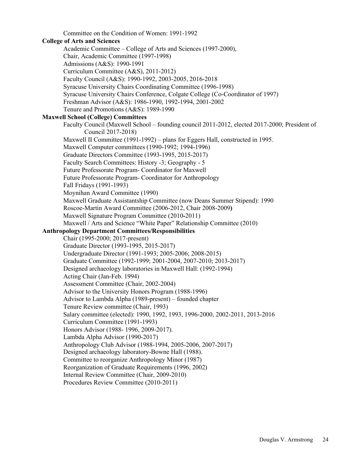Committee on the Condition of Women: 1991-1992 **College of Arts and Sciences** Academic Committee – College of Arts and Sciences (1997-2000), Chair, Academic Committee (1997-1998) Admissions (A&S): 1990-1991 Curriculum Committee (A&S), 2011-2012) Faculty Council (A&S): 1990-1992, 2003-2005, 2016-2018 Syracuse University Chairs Coordinating Committee (1996-1998) Syracuse University Chairs Conference, Colgate College (Co-Coordinator of 1997) Freshman Advisor (A&S): 1986-1990, 1992-1994, 2001-2002 Tenure and Promotions (A&S): 1989-1990 **Maxwell School (College) Committees** Faculty Council (Maxwell School – founding council 2011-2012, elected 2017-2000; President of Council 2017-2018) Maxwell II Committee (1991-1992) – plans for Eggers Hall, constructed in 1995. Maxwell Computer committees (1990-1992; 1994-1996) Graduate Directors Committee (1993-1995, 2015-2017) Faculty Search Committees: History -3; Geography - 5 Future Professorate Program- Coordinator for Maxwell Future Professorate Program- Coordinator for Anthropology Fall Fridays (1991-1993) Moynihan Award Committee (1990) Maxwell Graduate Assistantship Committee (now Deans Summer Stipend): 1990 Roscoe-Martin Award Committee (2006-2012, Chair 2008-2009**)** Maxwell Signature Program Committee (2010**-**2011) Maxwell / Arts and Science "White Paper" Relationship Committee (2010) **Anthropology Department Committees/Responsibilities** Chair (1995-2000; 2017-present) Graduate Director (1993-1995, 2015-2017) Undergraduate Director (1991-1993; 2005-2006; 2008-2015) Graduate Committee (1992-1999; 2001-2004, 2007-2010; 2013-2017) Designed archaeology laboratories in Maxwell Hall: (1992-1994) Acting Chair (Jan-Feb. 1994) Assessment Committee (Chair, 2002-2004) Advisor to the University Honors Program (1988-1996) Advisor to Lambda Alpha (1989-present) – founded chapter Tenure Review committee (Chair, 1993) Salary committee (elected): 1990, 1992, 1993, 1996-2000, 2002-2011, 2013-2016 Curriculum Committee (1991-1993) Honors Advisor (1988- 1996, 2009-2017). Lambda Alpha Advisor (1990-2017) Anthropology Club Advisor (1988-1994, 2005-2006, 2007-2017) Designed archaeology laboratory-Bowne Hall (1988). Committee to reorganize Anthropology Minor (1987) Reorganization of Graduate Requirements (1996, 2002) Internal Review Committee (Chair, 2009-2010) Procedures Review Committee (2010-2011)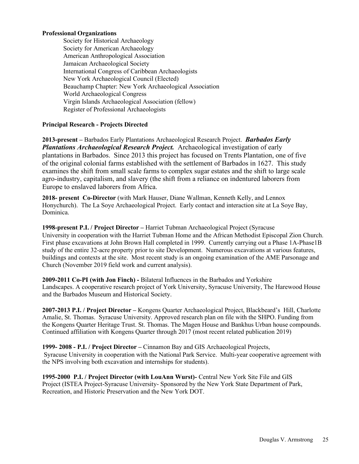#### **Professional Organizations**

Society for Historical Archaeology Society for American Archaeology American Anthropological Association Jamaican Archaeological Society International Congress of Caribbean Archaeologists New York Archaeological Council (Elected) Beauchamp Chapter: New York Archaeological Association World Archaeological Congress Virgin Islands Archaeological Association (fellow) Register of Professional Archaeologists

#### **Principal Research - Projects Directed**

**2013-present –** Barbados Early Plantations Archaeological Research Project. *Barbados Early Plantations Archaeological Research Project.* Archaeological investigation of early plantations in Barbados. Since 2013 this project has focused on Trents Plantation, one of five of the original colonial farms established with the settlement of Barbados in 1627. This study examines the shift from small scale farms to complex sugar estates and the shift to large scale agro-industry, capitalism, and slavery (the shift from a reliance on indentured laborers from Europe to enslaved laborers from Africa.

**2018- present Co-Director** (with Mark Hauser, Diane Wallman, Kenneth Kelly, and Lennox Honychurch). The La Soye Archaeological Project. Early contact and interaction site at La Soye Bay, Dominica.

**1998-present P.I. / Project Director –** Harriet Tubman Archaeological Project (Syracuse University in cooperation with the Harriet Tubman Home and the African Methodist Episcopal Zion Church. First phase excavations at John Brown Hall completed in 1999. Currently carrying out a Phase 1A-Phase1B study of the entire 32-acre property prior to site Development. Numerous excavations at various features, buildings and contexts at the site. Most recent study is an ongoing examination of the AME Parsonage and Church (November 2019 field work and current analysis).

**2009-2011 Co-PI (with Jon Finch) -** Bilateral Influences in the Barbados and Yorkshire Landscapes. A cooperative research project of York University, Syracuse University, The Harewood House and the Barbados Museum and Historical Society.

**2007-2013 P.I. / Project Director –** Kongens Quarter Archaeological Project, Blackbeard's Hill, Charlotte Amalie, St. Thomas. Syracuse University. Approved research plan on file with the SHPO. Funding from the Kongens Quarter Heritage Trust. St. Thomas. The Magen House and Bankhus Urban house compounds. Continued affiliation with Kongens Quarter through 2017 (most recent related publication 2019)

**1999- 2008 - P.I. / Project Director –** Cinnamon Bay and GIS Archaeological Projects, Syracuse University in cooperation with the National Park Service. Multi-year cooperative agreement with the NPS involving both excavation and internships for students).

**1995-2000 P.I. / Project Director (with LouAnn Wurst)-** Central New York Site File and GIS Project (ISTEA Project-Syracuse University- Sponsored by the New York State Department of Park, Recreation, and Historic Preservation and the New York DOT.